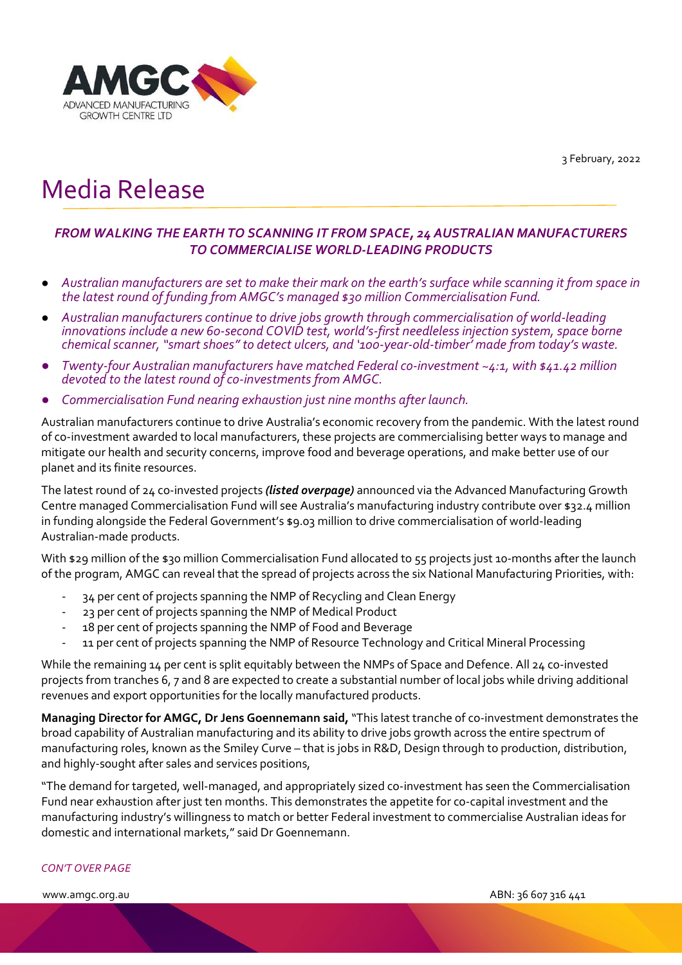3 February, 2022



# Media Release

## *FROM WALKING THE EARTH TO SCANNING IT FROM SPACE, 24 AUSTRALIAN MANUFACTURERS TO COMMERCIALISE WORLD-LEADING PRODUCTS*

- *Australian manufacturers are set to make their mark on the earth's surface while scanning it from space in the latest round of funding from AMGC's managed \$30 million Commercialisation Fund.*
- *Australian manufacturers continue to drive jobs growth through commercialisation of world-leading innovations include a new 60-second COVID test, world's-first needleless injection system, space borne chemical scanner, "smart shoes" to detect ulcers, and '100-year-old-timber' made from today's waste.*
- *Twenty-four Australian manufacturers have matched Federal co-investment ~4:1, with \$41.42 million devoted to the latest round of co-investments from AMGC.*
- *Commercialisation Fund nearing exhaustion just nine months after launch.*

Australian manufacturers continue to drive Australia's economic recovery from the pandemic. With the latest round of co-investment awarded to local manufacturers, these projects are commercialising better ways to manage and mitigate our health and security concerns, improve food and beverage operations, and make better use of our planet and its finite resources.

The latest round of 24 co-invested projects *(listed overpage)* announced via the Advanced Manufacturing Growth Centre managed Commercialisation Fund will see Australia's manufacturing industry contribute over \$32.4 million in funding alongside the Federal Government's \$9.03 million to drive commercialisation of world-leading Australian-made products.

With \$29 million of the \$30 million Commercialisation Fund allocated to 55 projects just 10-months after the launch of the program, AMGC can reveal that the spread of projects across the six National Manufacturing Priorities, with:

- 34 per cent of projects spanning the NMP of Recycling and Clean Energy
- 23 per cent of projects spanning the NMP of Medical Product
- 18 per cent of projects spanning the NMP of Food and Beverage
- 11 per cent of projects spanning the NMP of Resource Technology and Critical Mineral Processing

While the remaining 14 per cent is split equitably between the NMPs of Space and Defence. All 24 co-invested projects from tranches 6, 7 and 8 are expected to create a substantial number of local jobs while driving additional revenues and export opportunities for the locally manufactured products.

**Managing Director for AMGC, Dr Jens Goennemann said,**"This latest tranche of co-investment demonstrates the broad capability of Australian manufacturing and its ability to drive jobs growth across the entire spectrum of manufacturing roles, known as the Smiley Curve – that is jobs in R&D, Design through to production, distribution, and highly-sought after sales and services positions,

"The demand for targeted, well-managed, and appropriately sized co-investment has seen the Commercialisation Fund near exhaustion after just ten months. This demonstrates the appetite for co-capital investment and the manufacturing industry's willingness to match or better Federal investment to commercialise Australian ideas for domestic and international markets," said Dr Goennemann.

#### *CON'T OVER PAGE*

www.amgc.org.au ABN: 36 607 316 441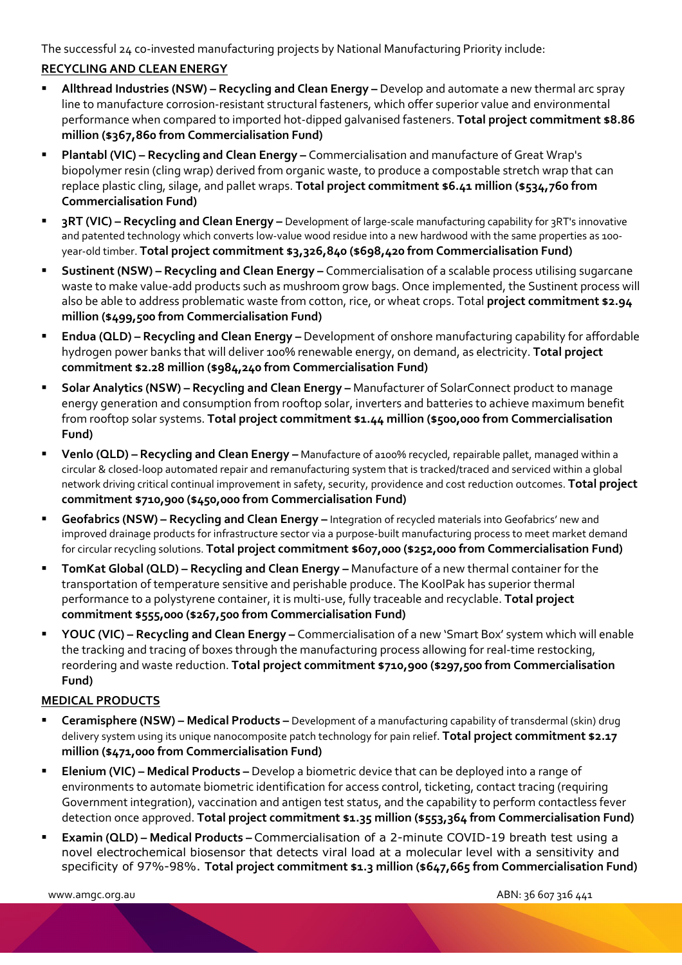The successful 24 co-invested manufacturing projects by National Manufacturing Priority include:

### **RECYCLING AND CLEAN ENERGY**

- **Allthread Industries (NSW) Recycling and Clean Energy –** Develop and automate a new thermal arc spray line to manufacture corrosion-resistant structural fasteners, which offer superior value and environmental performance when compared to imported hot-dipped galvanised fasteners. **Total project commitment \$8.86 million (\$367,860 from Commercialisation Fund)**
- **Plantabl (VIC) Recycling and Clean Energy –** Commercialisation and manufacture of Great Wrap's biopolymer resin (cling wrap) derived from organic waste, to produce a compostable stretch wrap that can replace plastic cling, silage, and pallet wraps. **Total project commitment \$6.41 million (\$534,760 from Commercialisation Fund)**
- **3RT (VIC) Recycling and Clean Energy** Development of large-scale manufacturing capability for 3RT's innovative and patented technology which converts low-value wood residue into a new hardwood with the same properties as 100 year-old timber. **Total project commitment \$3,326,840 (\$698,420 from Commercialisation Fund)**
- **Sustinent (NSW) Recycling and Clean Energy –** Commercialisation of a scalable process utilising sugarcane waste to make value-add products such as mushroom grow bags. Once implemented, the Sustinent process will also be able to address problematic waste from cotton, rice, or wheat crops. Total **project commitment \$2.94 million (\$499,500 from Commercialisation Fund)**
- **Endua (QLD) Recycling and Clean Energy** Development of onshore manufacturing capability for affordable hydrogen power banks that will deliver 100% renewable energy, on demand, as electricity. **Total project commitment \$2.28 million (\$984,240 from Commercialisation Fund)**
- **Solar Analytics (NSW) Recycling and Clean Energy –** Manufacturer of SolarConnect product to manage energy generation and consumption from rooftop solar, inverters and batteries to achieve maximum benefit from rooftop solar systems. **Total project commitment \$1.44 million (\$500,000 from Commercialisation Fund)**
- **Venlo (QLD) Recycling and Clean Energy –** Manufacture of a100% recycled, repairable pallet, managed within a circular & closed-loop automated repair and remanufacturing system that is tracked/traced and serviced within a global network driving critical continual improvement in safety, security, providence and cost reduction outcomes. **Total project commitment \$710,900 (\$450,000 from Commercialisation Fund)**
- **Geofabrics (NSW) Recycling and Clean Energy –** Integration of recycled materials into Geofabrics' new and improved drainage products for infrastructure sector via a purpose-built manufacturing process to meet market demand for circular recycling solutions. **Total project commitment \$607,000 (\$252,000 from Commercialisation Fund)**
- **TomKat Global (QLD) Recycling and Clean Energy** Manufacture of a new thermal container for the transportation of temperature sensitive and perishable produce. The KoolPak has superior thermal performance to a polystyrene container, it is multi-use, fully traceable and recyclable. **Total project commitment \$555,000 (\$267,500 from Commercialisation Fund)**
- **YOUC (VIC) – Recycling and Clean Energy –** Commercialisation of a new 'Smart Box' system which will enable the tracking and tracing of boxes through the manufacturing process allowing for real-time restocking, reordering and waste reduction. **Total project commitment \$710,900 (\$297,500 from Commercialisation Fund)**

#### **MEDICAL PRODUCTS**

- **Ceramisphere (NSW) Medical Products** Development of a manufacturing capability of transdermal (skin) drug delivery system using its unique nanocomposite patch technology for pain relief. **Total project commitment \$2.17 million (\$471,000 from Commercialisation Fund)**
- **Elenium (VIC) Medical Products** Develop a biometric device that can be deployed into a range of environments to automate biometric identification for access control, ticketing, contact tracing (requiring Government integration), vaccination and antigen test status, and the capability to perform contactless fever detection once approved. **Total project commitment \$1.35 million (\$553,364 from Commercialisation Fund)**
- **Examin (QLD) Medical Products** Commercialisation of a 2-minute COVID-19 breath test using a novel electrochemical biosensor that detects viral load at a molecular level with a sensitivity and specificity of 97%-98%. **Total project commitment \$1.3 million (\$647,665 from Commercialisation Fund)**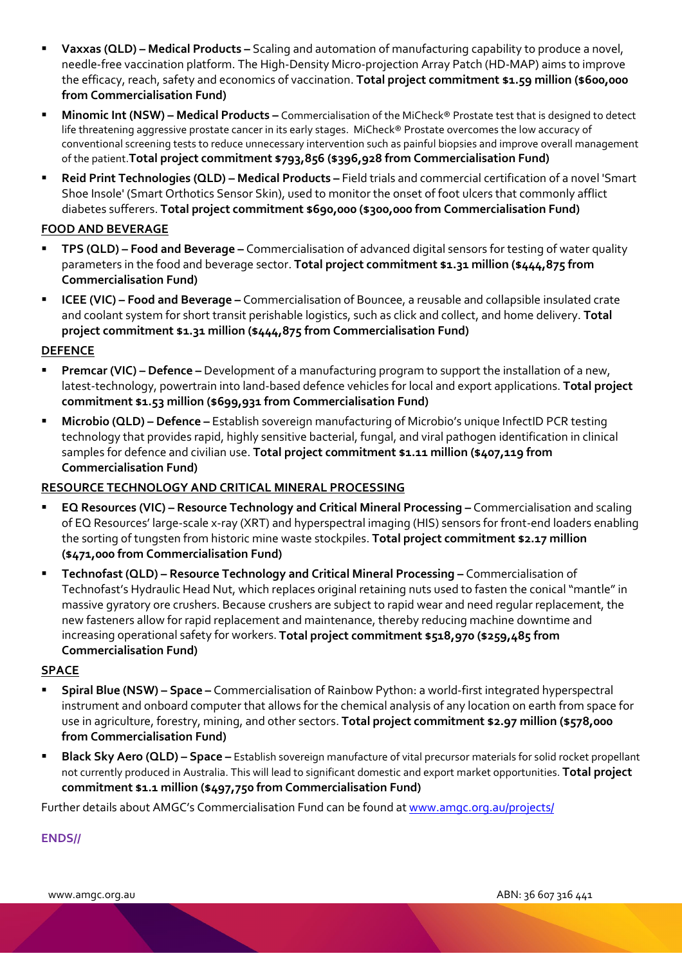- **Vaxxas (QLD) – Medical Products –** Scaling and automation of manufacturing capability to produce a novel, needle-free vaccination platform. The High-Density Micro-projection Array Patch (HD-MAP) aims to improve the efficacy, reach, safety and economics of vaccination. **Total project commitment \$1.59 million (\$600,000 from Commercialisation Fund)**
- **Minomic Int (NSW) – Medical Products –** Commercialisation of the MiCheck® Prostate test that is designed to detect life threatening aggressive prostate cancer in its early stages. MiCheck® Prostate overcomes the low accuracy of conventional screening tests to reduce unnecessary intervention such as painful biopsies and improve overall management of the patient.**Total project commitment \$793,856 (\$396,928 from Commercialisation Fund)**
- **Reid Print Technologies (QLD) – Medical Products –** Field trials and commercial certification of a novel 'Smart Shoe Insole' (Smart Orthotics Sensor Skin), used to monitor the onset of foot ulcers that commonly afflict diabetes sufferers. **Total project commitment \$690,000 (\$300,000 from Commercialisation Fund)**

#### **FOOD AND BEVERAGE**

- **TPS (QLD) – Food and Beverage –** Commercialisation of advanced digital sensors for testing of water quality parameters in the food and beverage sector. **Total project commitment \$1.31 million (\$444,875 from Commercialisation Fund)**
- **ICEE (VIC) – Food and Beverage –** Commercialisation of Bouncee, a reusable and collapsible insulated crate and coolant system for short transit perishable logistics, such as click and collect, and home delivery. **Total project commitment \$1.31 million (\$444,875 from Commercialisation Fund)**

#### **DEFENCE**

- **Premcar (VIC) – Defence –** Development of a manufacturing program to support the installation of a new, latest-technology, powertrain into land-based defence vehicles for local and export applications. **Total project commitment \$1.53 million (\$699,931 from Commercialisation Fund)**
- **Microbio (QLD) – Defence –** Establish sovereign manufacturing of Microbio's unique InfectID PCR testing technology that provides rapid, highly sensitive bacterial, fungal, and viral pathogen identification in clinical samples for defence and civilian use. **Total project commitment \$1.11 million (\$407,119 from Commercialisation Fund)**

#### **RESOURCE TECHNOLOGY AND CRITICAL MINERAL PROCESSING**

- **EQ Resources (VIC) – Resource Technology and Critical Mineral Processing –** Commercialisation and scaling of EQ Resources' large-scale x-ray (XRT) and hyperspectral imaging (HIS) sensors for front-end loaders enabling the sorting of tungsten from historic mine waste stockpiles. **Total project commitment \$2.17 million (\$471,000 from Commercialisation Fund)**
- **Technofast (QLD) – Resource Technology and Critical Mineral Processing –** Commercialisation of Technofast's Hydraulic Head Nut, which replaces original retaining nuts used to fasten the conical "mantle" in massive gyratory ore crushers. Because crushers are subject to rapid wear and need regular replacement, the new fasteners allow for rapid replacement and maintenance, thereby reducing machine downtime and increasing operational safety for workers. **Total project commitment \$518,970 (\$259,485 from Commercialisation Fund)**

#### **SPACE**

- **Spiral Blue (NSW) – Space –** Commercialisation of Rainbow Python: a world-first integrated hyperspectral instrument and onboard computer that allows for the chemical analysis of any location on earth from space for use in agriculture, forestry, mining, and other sectors. **Total project commitment \$2.97 million (\$578,000 from Commercialisation Fund)**
- **Black Sky Aero (QLD) – Space –** Establish sovereign manufacture of vital precursor materials for solid rocket propellant not currently produced in Australia. This will lead to significant domestic and export market opportunities. **Total project commitment \$1.1 million (\$497,750 from Commercialisation Fund)**

Further details about AMGC's Commercialisation Fund can be found at [www.amgc.org.au/projects/](http://www.amgc.org.au/projects/)

## **ENDS//**